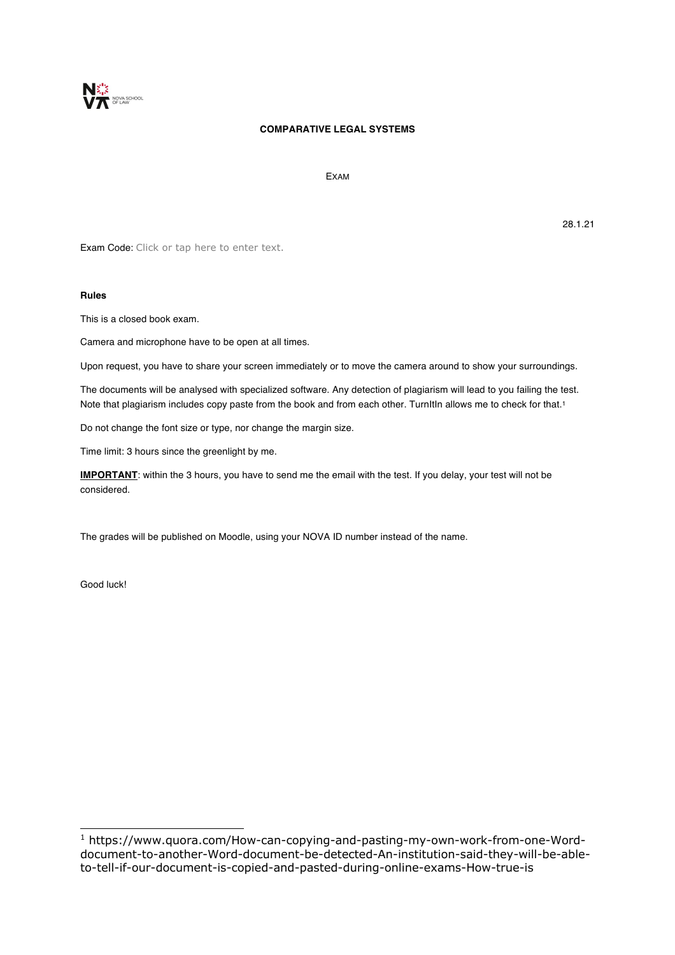

# **COMPARATIVE LEGAL SYSTEMS**

EXAM

Exam Code: Click or tap here to enter text.

## **Rules**

This is a closed book exam.

Camera and microphone have to be open at all times.

Upon request, you have to share your screen immediately or to move the camera around to show your surroundings.

The documents will be analysed with specialized software. Any detection of plagiarism will lead to you failing the test. Note that plagiarism includes copy paste from the book and from each other. TurnItIn allows me to check for that.<sup>1</sup>

Do not change the font size or type, nor change the margin size.

Time limit: 3 hours since the greenlight by me.

**IMPORTANT**: within the 3 hours, you have to send me the email with the test. If you delay, your test will not be considered.

The grades will be published on Moodle, using your NOVA ID number instead of the name.

Good luck!

28.1.21

<sup>1</sup> https://www.quora.com/How-can-copying-and-pasting-my-own-work-from-one-Worddocument-to-another-Word-document-be-detected-An-institution-said-they-will-be-ableto-tell-if-our-document-is-copied-and-pasted-during-online-exams-How-true-is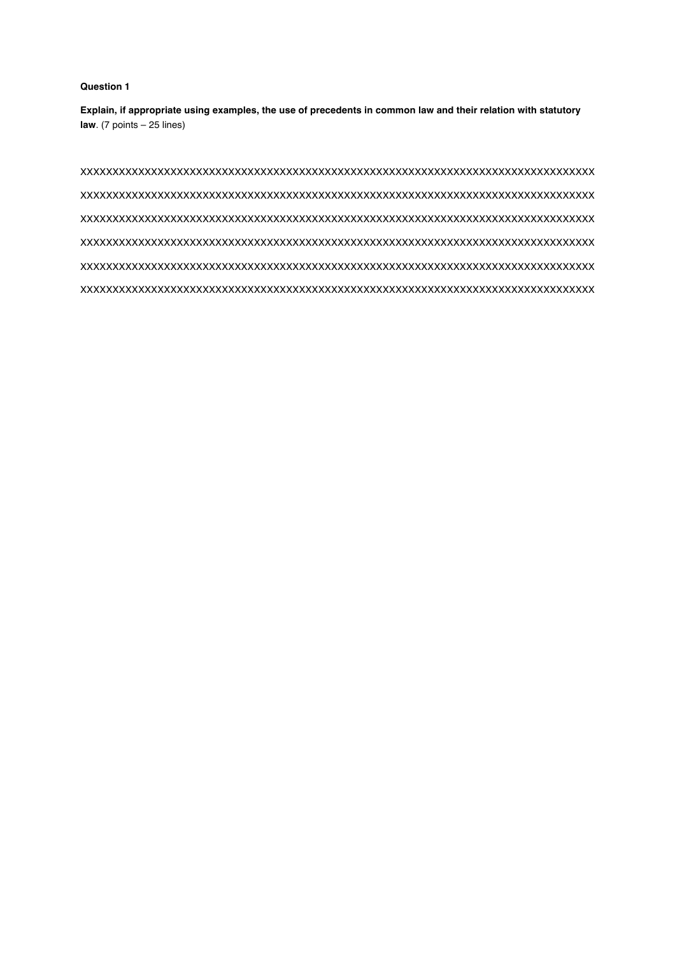# **Question 1**

**Explain, if appropriate using examples, the use of precedents in common law and their relation with statutory law**. (7 points – 25 lines)

XXXXXXXXXXXXXXXXXXXXXXXXXXXXXXXXXXXXXXXXXXXXXXXXXXXXXXXXXXXXXXXXXXXXXXXXXXXXXXXX XXXXXXXXXXXXXXXXXXXXXXXXXXXXXXXXXXXXXXXXXXXXXXXXXXXXXXXXXXXXXXXXXXXXXXXXXXXXXXXX XXXXXXXXXXXXXXXXXXXXXXXXXXXXXXXXXXXXXXXXXXXXXXXXXXXXXXXXXXXXXXXXXXXXXXXXXXXXXXXX XXXXXXXXXXXXXXXXXXXXXXXXXXXXXXXXXXXXXXXXXXXXXXXXXXXXXXXXXXXXXXXXXXXXXXXXXXXXXXXX XXXXXXXXXXXXXXXXXXXXXXXXXXXXXXXXXXXXXXXXXXXXXXXXXXXXXXXXXXXXXXXXXXXXXXXXXXXXXXXX XXXXXXXXXXXXXXXXXXXXXXXXXXXXXXXXXXXXXXXXXXXXXXXXXXXXXXXXXXXXXXXXXXXXXXXXXXXXXXXX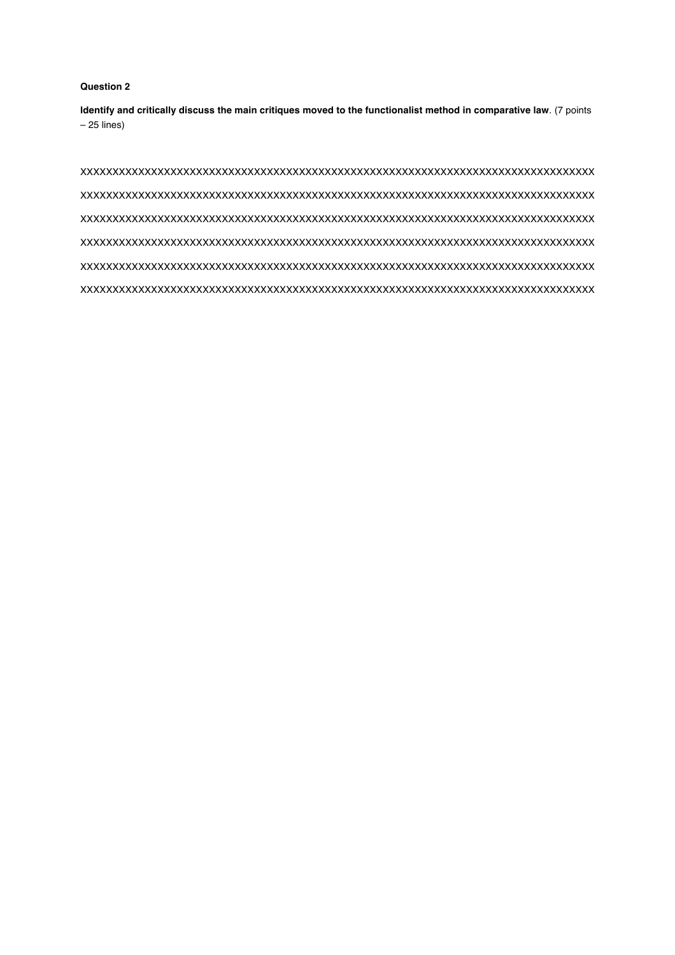# **Question 2**

**Identify and critically discuss the main critiques moved to the functionalist method in comparative law**. (7 points – 25 lines)

XXXXXXXXXXXXXXXXXXXXXXXXXXXXXXXXXXXXXXXXXXXXXXXXXXXXXXXXXXXXXXXXXXXXXXXXXXXXXXXX XXXXXXXXXXXXXXXXXXXXXXXXXXXXXXXXXXXXXXXXXXXXXXXXXXXXXXXXXXXXXXXXXXXXXXXXXXXXXXXX XXXXXXXXXXXXXXXXXXXXXXXXXXXXXXXXXXXXXXXXXXXXXXXXXXXXXXXXXXXXXXXXXXXXXXXXXXXXXXXX XXXXXXXXXXXXXXXXXXXXXXXXXXXXXXXXXXXXXXXXXXXXXXXXXXXXXXXXXXXXXXXXXXXXXXXXXXXXXXXX XXXXXXXXXXXXXXXXXXXXXXXXXXXXXXXXXXXXXXXXXXXXXXXXXXXXXXXXXXXXXXXXXXXXXXXXXXXXXXXX XXXXXXXXXXXXXXXXXXXXXXXXXXXXXXXXXXXXXXXXXXXXXXXXXXXXXXXXXXXXXXXXXXXXXXXXXXXXXXXX